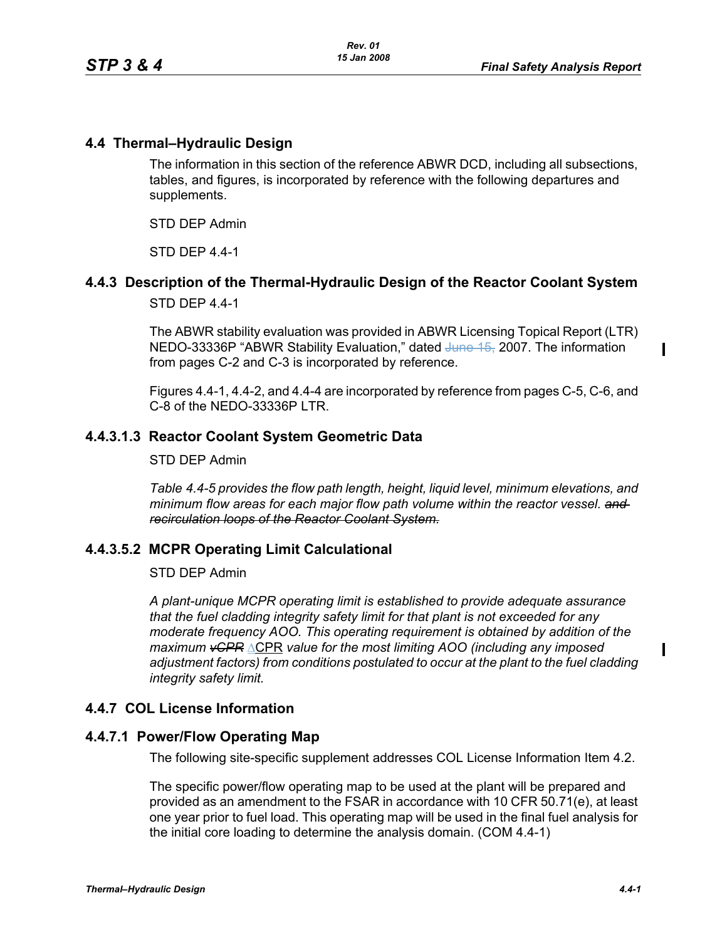# **4.4 Thermal–Hydraulic Design**

The information in this section of the reference ABWR DCD, including all subsections, tables, and figures, is incorporated by reference with the following departures and supplements.

STD DEP Admin

STD DEP 4.4-1

# **4.4.3 Description of the Thermal-Hydraulic Design of the Reactor Coolant System**

STD DEP 4.4-1

The ABWR stability evaluation was provided in ABWR Licensing Topical Report (LTR) NEDO-33336P "ABWR Stability Evaluation," dated June 15, 2007. The information from pages C-2 and C-3 is incorporated by reference.

Figures 4.4-1, 4.4-2, and 4.4-4 are incorporated by reference from pages C-5, C-6, and C-8 of the NEDO-33336P LTR.

## **4.4.3.1.3 Reactor Coolant System Geometric Data**

STD DEP Admin

*Table 4.4-5 provides the flow path length, height, liquid level, minimum elevations, and minimum flow areas for each major flow path volume within the reactor vessel. and recirculation loops of the Reactor Coolant System.*

## **4.4.3.5.2 MCPR Operating Limit Calculational**

#### STD DEP Admin

*A plant-unique MCPR operating limit is established to provide adequate assurance that the fuel cladding integrity safety limit for that plant is not exceeded for any moderate frequency AOO. This operating requirement is obtained by addition of the maximum vCPR* ΔCPR *value for the most limiting AOO (including any imposed adjustment factors) from conditions postulated to occur at the plant to the fuel cladding integrity safety limit.*

## **4.4.7 COL License Information**

## **4.4.7.1 Power/Flow Operating Map**

The following site-specific supplement addresses COL License Information Item 4.2.

The specific power/flow operating map to be used at the plant will be prepared and provided as an amendment to the FSAR in accordance with 10 CFR 50.71(e), at least one year prior to fuel load. This operating map will be used in the final fuel analysis for the initial core loading to determine the analysis domain. (COM 4.4-1)

 $\mathbf I$ 

 $\mathbf I$